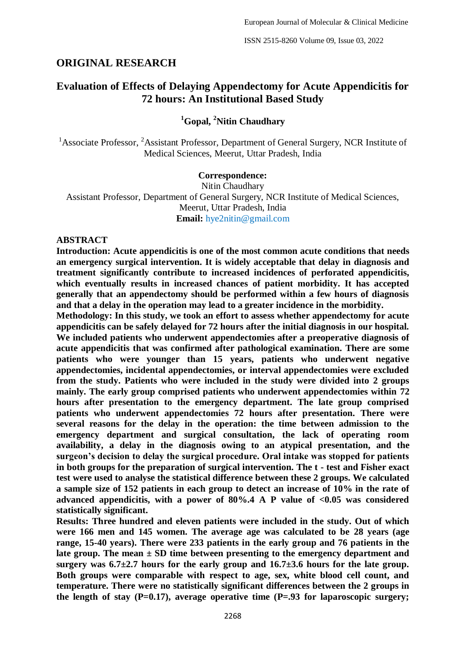# **ORIGINAL RESEARCH**

# **Evaluation of Effects of Delaying Appendectomy for Acute Appendicitis for 72 hours: An Institutional Based Study**

# **<sup>1</sup>Gopal, <sup>2</sup>Nitin Chaudhary**

<sup>1</sup>Associate Professor, <sup>2</sup>Assistant Professor, Department of General Surgery, NCR Institute of Medical Sciences, Meerut, Uttar Pradesh, India

#### **Correspondence:**

Nitin Chaudhary Assistant Professor, Department of General Surgery, NCR Institute of Medical Sciences, Meerut, Uttar Pradesh, India **Email:** hye2nitin@gmail.com

#### **ABSTRACT**

**Introduction: Acute appendicitis is one of the most common acute conditions that needs an emergency surgical intervention. It is widely acceptable that delay in diagnosis and treatment significantly contribute to increased incidences of perforated appendicitis, which eventually results in increased chances of patient morbidity. It has accepted generally that an appendectomy should be performed within a few hours of diagnosis and that a delay in the operation may lead to a greater incidence in the morbidity.** 

**Methodology: In this study, we took an effort to assess whether appendectomy for acute appendicitis can be safely delayed for 72 hours after the initial diagnosis in our hospital. We included patients who underwent appendectomies after a preoperative diagnosis of acute appendicitis that was confirmed after pathological examination. There are some patients who were younger than 15 years, patients who underwent negative appendectomies, incidental appendectomies, or interval appendectomies were excluded from the study. Patients who were included in the study were divided into 2 groups mainly. The early group comprised patients who underwent appendectomies within 72 hours after presentation to the emergency department. The late group comprised patients who underwent appendectomies 72 hours after presentation. There were several reasons for the delay in the operation: the time between admission to the emergency department and surgical consultation, the lack of operating room availability, a delay in the diagnosis owing to an atypical presentation, and the surgeon's decision to delay the surgical procedure. Oral intake was stopped for patients in both groups for the preparation of surgical intervention. The t - test and Fisher exact test were used to analyse the statistical difference between these 2 groups. We calculated a sample size of 152 patients in each group to detect an increase of 10% in the rate of advanced appendicitis, with a power of 80%.4 A P value of <0.05 was considered statistically significant.** 

**Results: Three hundred and eleven patients were included in the study. Out of which were 166 men and 145 women. The average age was calculated to be 28 years (age range, 15-40 years). There were 233 patients in the early group and 76 patients in the late group. The mean ± SD time between presenting to the emergency department and**  surgery was  $6.7\pm2.7$  hours for the early group and  $16.7\pm3.6$  hours for the late group. **Both groups were comparable with respect to age, sex, white blood cell count, and temperature. There were no statistically significant differences between the 2 groups in the length of stay (P=0.17), average operative time (P=.93 for laparoscopic surgery;**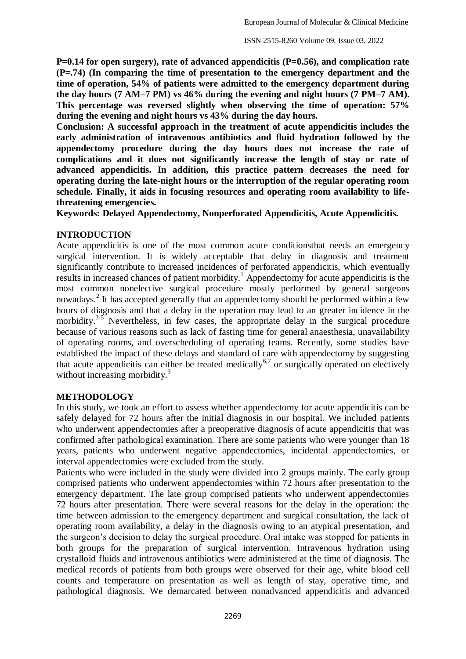**P=0.14 for open surgery), rate of advanced appendicitis (P=0.56), and complication rate (P=.74) (In comparing the time of presentation to the emergency department and the time of operation, 54% of patients were admitted to the emergency department during the day hours (7 AM–7 PM) vs 46% during the evening and night hours (7 PM–7 AM). This percentage was reversed slightly when observing the time of operation: 57% during the evening and night hours vs 43% during the day hours.**

**Conclusion: A successful approach in the treatment of acute appendicitis includes the early administration of intravenous antibiotics and fluid hydration followed by the appendectomy procedure during the day hours does not increase the rate of complications and it does not significantly increase the length of stay or rate of advanced appendicitis. In addition, this practice pattern decreases the need for operating during the late-night hours or the interruption of the regular operating room schedule. Finally, it aids in focusing resources and operating room availability to lifethreatening emergencies.**

**Keywords: Delayed Appendectomy, Nonperforated Appendicitis, Acute Appendicitis.**

#### **INTRODUCTION**

Acute appendicitis is one of the most common acute conditionsthat needs an emergency surgical intervention. It is widely acceptable that delay in diagnosis and treatment significantly contribute to increased incidences of perforated appendicitis, which eventually results in increased chances of patient morbidity. <sup>1</sup> Appendectomy for acute appendicitis is the most common nonelective surgical procedure mostly performed by general surgeons nowadays. 2 It has accepted generally that an appendectomy should be performed within a few hours of diagnosis and that a delay in the operation may lead to an greater incidence in the morbidity.<sup>3-5</sup> Nevertheless, in few cases, the appropriate delay in the surgical procedure because of various reasons such as lack of fasting time for general anaesthesia, unavailability of operating rooms, and overscheduling of operating teams. Recently, some studies have established the impact of these delays and standard of care with appendectomy by suggesting that acute appendicitis can either be treated medically<sup>6,7</sup> or surgically operated on electively without increasing morbidity.<sup>3</sup>

#### **METHODOLOGY**

In this study, we took an effort to assess whether appendectomy for acute appendicitis can be safely delayed for 72 hours after the initial diagnosis in our hospital. We included patients who underwent appendectomies after a preoperative diagnosis of acute appendicitis that was confirmed after pathological examination. There are some patients who were younger than 18 years, patients who underwent negative appendectomies, incidental appendectomies, or interval appendectomies were excluded from the study.

Patients who were included in the study were divided into 2 groups mainly. The early group comprised patients who underwent appendectomies within 72 hours after presentation to the emergency department. The late group comprised patients who underwent appendectomies 72 hours after presentation. There were several reasons for the delay in the operation: the time between admission to the emergency department and surgical consultation, the lack of operating room availability, a delay in the diagnosis owing to an atypical presentation, and the surgeon's decision to delay the surgical procedure. Oral intake was stopped for patients in both groups for the preparation of surgical intervention. Intravenous hydration using crystalloid fluids and intravenous antibiotics were administered at the time of diagnosis. The medical records of patients from both groups were observed for their age, white blood cell counts and temperature on presentation as well as length of stay, operative time, and pathological diagnosis. We demarcated between nonadvanced appendicitis and advanced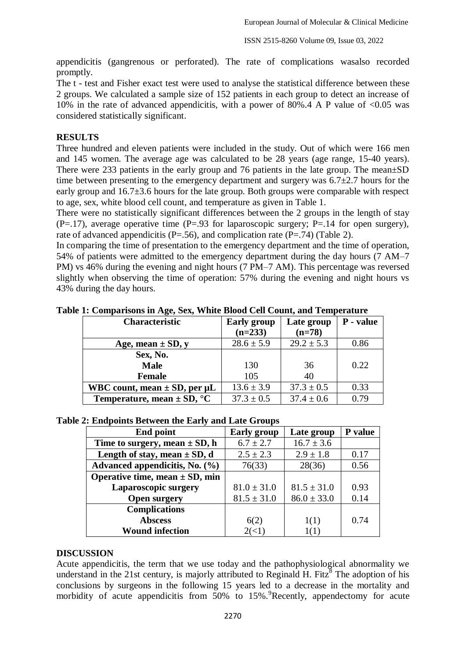appendicitis (gangrenous or perforated). The rate of complications wasalso recorded promptly.

The t - test and Fisher exact test were used to analyse the statistical difference between these 2 groups. We calculated a sample size of 152 patients in each group to detect an increase of 10% in the rate of advanced appendicitis, with a power of 80%.4 A P value of  $\langle 0.05 \rangle$  was considered statistically significant.

### **RESULTS**

Three hundred and eleven patients were included in the study. Out of which were 166 men and 145 women. The average age was calculated to be 28 years (age range, 15-40 years). There were 233 patients in the early group and 76 patients in the late group. The mean±SD time between presenting to the emergency department and surgery was 6.7±2.7 hours for the early group and 16.7±3.6 hours for the late group. Both groups were comparable with respect to age, sex, white blood cell count, and temperature as given in Table 1.

There were no statistically significant differences between the 2 groups in the length of stay  $(P=.17)$ , average operative time  $(P=.93$  for laparoscopic surgery; P=.14 for open surgery), rate of advanced appendicitis ( $P = .56$ ), and complication rate ( $P = .74$ ) (Table 2).

In comparing the time of presentation to the emergency department and the time of operation, 54% of patients were admitted to the emergency department during the day hours (7 AM–7 PM) vs 46% during the evening and night hours (7 PM–7 AM). This percentage was reversed slightly when observing the time of operation: 57% during the evening and night hours vs 43% during the day hours.

| <b>Characteristic</b>                    | <b>Early group</b> | Late group     | P - value |
|------------------------------------------|--------------------|----------------|-----------|
|                                          | $(n=233)$          | $(n=78)$       |           |
| Age, mean $\pm$ SD, y                    | $28.6 \pm 5.9$     | $29.2 \pm 5.3$ | 0.86      |
| Sex, No.                                 |                    |                |           |
| <b>Male</b>                              | 130                | 36             | 0.22      |
| <b>Female</b>                            | 105                | 40             |           |
| WBC count, mean $\pm$ SD, per $\mu$ L    | $13.6 \pm 3.9$     | $37.3 \pm 0.5$ | 0.33      |
| Temperature, mean $\pm$ SD, $^{\circ}$ C | $37.3 \pm 0.5$     | $37.4 \pm 0.6$ | 0.79      |

**Table 1: Comparisons in Age, Sex, White Blood Cell Count, and Temperature**

#### **Table 2: Endpoints Between the Early and Late Groups**

| <b>End point</b>                   | <b>Early</b> group | Late group      | P value |
|------------------------------------|--------------------|-----------------|---------|
| Time to surgery, mean $\pm$ SD, h  | $6.7 \pm 2.7$      | $16.7 \pm 3.6$  |         |
| Length of stay, mean $\pm$ SD, d   | $2.5 \pm 2.3$      | $2.9 \pm 1.8$   | 0.17    |
| Advanced appendicitis, No. (%)     | 76(33)             | 28(36)          | 0.56    |
| Operative time, mean $\pm$ SD, min |                    |                 |         |
| Laparoscopic surgery               | $81.0 \pm 31.0$    | $81.5 \pm 31.0$ | 0.93    |
| <b>Open surgery</b>                | $81.5 \pm 31.0$    | $86.0 \pm 33.0$ | 0.14    |
| <b>Complications</b>               |                    |                 |         |
| <b>Abscess</b>                     | 6(2)               | 1(1)            | 0.74    |
| <b>Wound infection</b>             |                    | 1(1)            |         |

#### **DISCUSSION**

Acute appendicitis, the term that we use today and the pathophysiological abnormality we understand in the 21st century, is majorly attributed to Reginald H. Fitz<sup>8</sup> The adoption of his conclusions by surgeons in the following 15 years led to a decrease in the mortality and morbidity of acute appendicitis from  $50\%$  to  $15\%$ . Recently, appendectomy for acute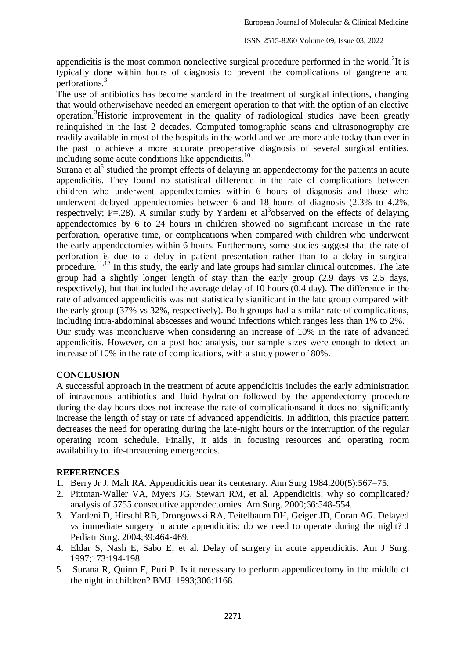appendicitis is the most common nonelective surgical procedure performed in the world.<sup>2</sup>It is typically done within hours of diagnosis to prevent the complications of gangrene and perforations.<sup>3</sup>

The use of antibiotics has become standard in the treatment of surgical infections, changing that would otherwisehave needed an emergent operation to that with the option of an elective operation.<sup>3</sup>Historic improvement in the quality of radiological studies have been greatly relinquished in the last 2 decades. Computed tomographic scans and ultrasonography are readily available in most of the hospitals in the world and we are more able today than ever in the past to achieve a more accurate preoperative diagnosis of several surgical entities, including some acute conditions like appendicitis.<sup>10</sup>

Surana et  $al^5$  studied the prompt effects of delaying an appendectomy for the patients in acute appendicitis. They found no statistical difference in the rate of complications between children who underwent appendectomies within 6 hours of diagnosis and those who underwent delayed appendectomies between 6 and 18 hours of diagnosis (2.3% to 4.2%, respectively;  $P = .28$ ). A similar study by Yardeni et al<sup>3</sup>observed on the effects of delaying appendectomies by 6 to 24 hours in children showed no significant increase in the rate perforation, operative time, or complications when compared with children who underwent the early appendectomies within 6 hours. Furthermore, some studies suggest that the rate of perforation is due to a delay in patient presentation rather than to a delay in surgical procedure.<sup>11,12</sup> In this study, the early and late groups had similar clinical outcomes. The late group had a slightly longer length of stay than the early group (2.9 days vs 2.5 days, respectively), but that included the average delay of 10 hours (0.4 day). The difference in the rate of advanced appendicitis was not statistically significant in the late group compared with the early group (37% vs 32%, respectively). Both groups had a similar rate of complications, including intra-abdominal abscesses and wound infections which ranges less than 1% to 2%. Our study was inconclusive when considering an increase of 10% in the rate of advanced appendicitis. However, on a post hoc analysis, our sample sizes were enough to detect an

# increase of 10% in the rate of complications, with a study power of 80%.

## **CONCLUSION**

A successful approach in the treatment of acute appendicitis includes the early administration of intravenous antibiotics and fluid hydration followed by the appendectomy procedure during the day hours does not increase the rate of complicationsand it does not significantly increase the length of stay or rate of advanced appendicitis. In addition, this practice pattern decreases the need for operating during the late-night hours or the interruption of the regular operating room schedule. Finally, it aids in focusing resources and operating room availability to life-threatening emergencies.

## **REFERENCES**

- 1. Berry Jr J, Malt RA. Appendicitis near its centenary. Ann Surg 1984;200(5):567–75.
- 2. Pittman-Waller VA, Myers JG, Stewart RM, et al. Appendicitis: why so complicated? analysis of 5755 consecutive appendectomies. Am Surg. 2000;66:548-554.
- 3. Yardeni D, Hirschl RB, Drongowski RA, Teitelbaum DH, Geiger JD, Coran AG. Delayed vs immediate surgery in acute appendicitis: do we need to operate during the night? J Pediatr Surg. 2004;39:464-469.
- 4. Eldar S, Nash E, Sabo E, et al. Delay of surgery in acute appendicitis. Am J Surg. 1997;173:194-198
- 5. Surana R, Quinn F, Puri P. Is it necessary to perform appendicectomy in the middle of the night in children? BMJ. 1993;306:1168.